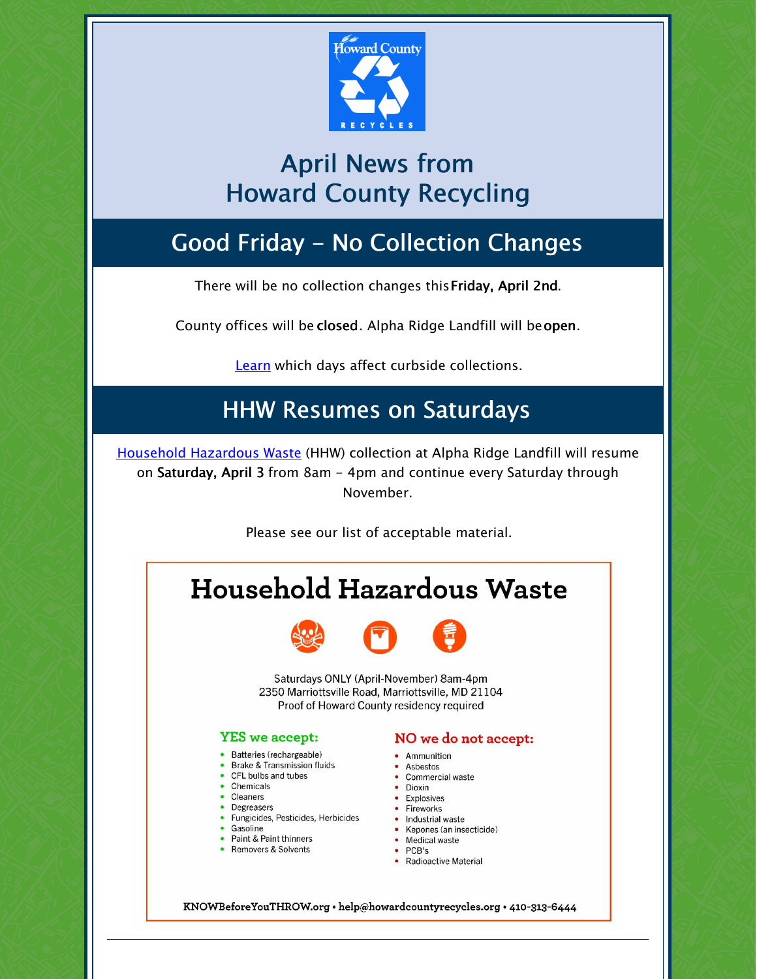

## April News from Howard County Recycling

## Good Friday - No Collection Changes

There will be no collection changes thisFriday, April 2nd.

County offices will be closed. Alpha Ridge Landfill will beopen.

[Learn](https://www.howardcountymd.gov/Departments/Public-Works/Bureau-Of-Environmental-Services/Curbside-Collections/Holiday-Schedule-for-Recycling-Trash) which days affect curbside collections.

### HHW Resumes on Saturdays

Household [Hazardous](https://www.howardcountymd.gov/Departments/Public-Works/Bureau-Of-Environmental-Services/Alpha-Ridge-Landfill/Household-Hazardous-Waste) Waste (HHW) collection at Alpha Ridge Landfill will resume on Saturday, April 3 from 8am - 4pm and continue every Saturday through November.

Please see our list of acceptable material.

# **Household Hazardous Waste**



Saturdays ONLY (April-November) 8am-4pm 2350 Marriottsville Road, Marriottsville, MD 21104 Proof of Howard County residency required

#### **YES** we accept:

- · Batteries (rechargeable)
- Brake & Transmission fluids
- CFL bulbs and tubes
- Chemicals
- Cleaners • Degreasers
- Fungicides, Pesticides, Herbicides
- Gasoline
- Paint & Paint thinners
- Removers & Solvents

### NO we do not accept:

- Ammunition
- Asbestos
- Commercial waste
- · Dioxin • Explosives
- Fireworks
- Industrial waste
- Kepones (an insecticide)
- Medical waste
- PCB's • Radioactive Material

KNOWBeforeYouTHROW.org • help@howardcountyrecycles.org • 410-313-6444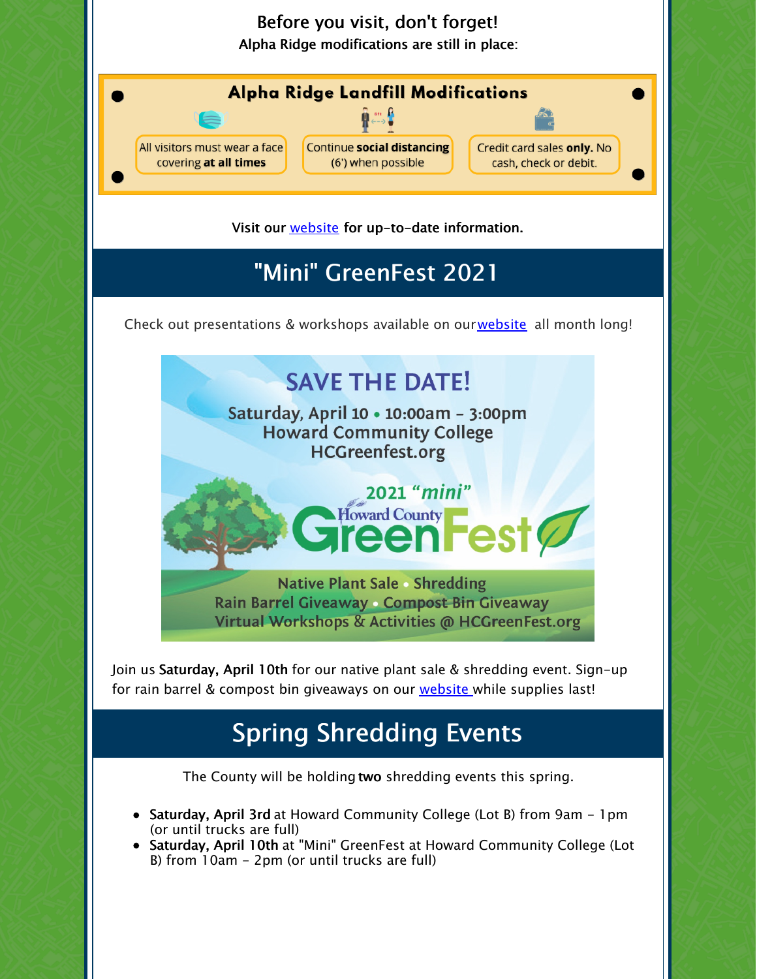

Join us Saturday, April 10th for our native plant sale & shredding event. Sign-up for rain barrel & compost bin giveaways on our [website](https://www.howardcountymd.gov/Departments/County-Administration/Community-Sustainability/GreenFest) while supplies last!

## Spring Shredding Events

The County will be holding two shredding events this spring.

- Saturday, April 3rd at Howard Community College (Lot B) from 9am 1pm (or until trucks are full)
- Saturday, April 10th at "Mini" GreenFest at Howard Community College (Lot B) from 10am - 2pm (or until trucks are full)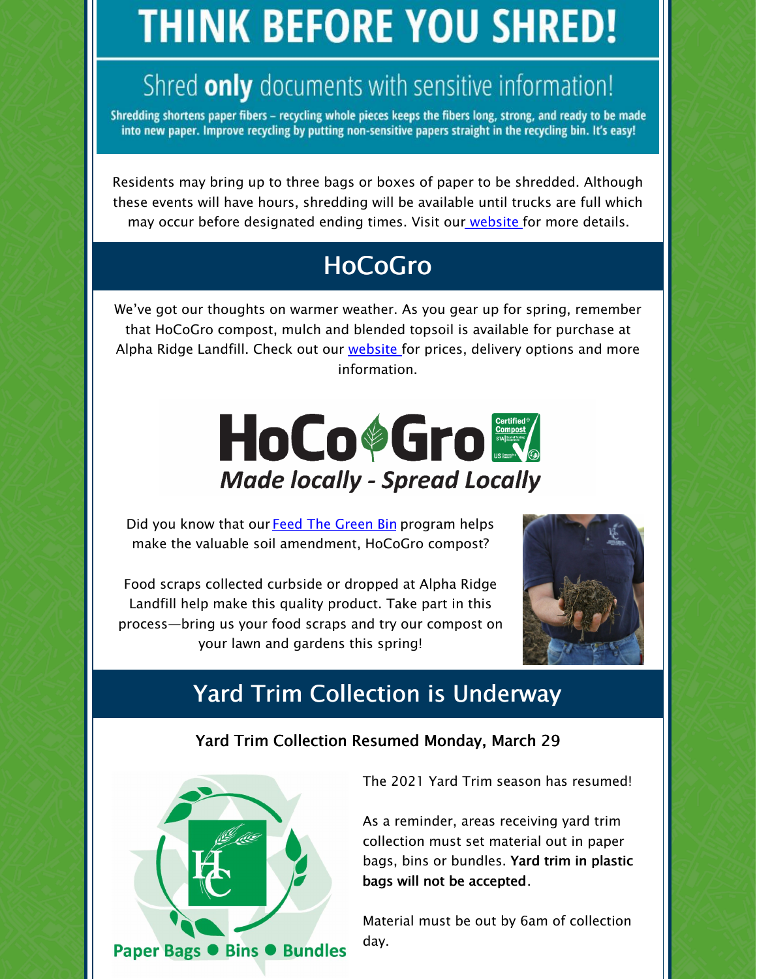# **THINK BEFORE YOU SHRED!**

# Shred only documents with sensitive information!

Shredding shortens paper fibers - recycling whole pieces keeps the fibers long, strong, and ready to be made into new paper. Improve recycling by putting non-sensitive papers straight in the recycling bin. It's easy!

Residents may bring up to three bags or boxes of paper to be shredded. Although these events will have hours, shredding will be available until trucks are full which may occur before designated ending times. Visit our [website](https://www.howardcountymd.gov/Departments/Public-Works/Bureau-Of-Environmental-Services/Recycling/Document-Shredding) for more details.

## HoCoGro

We've got our thoughts on warmer weather. As you gear up for spring, remember that HoCoGro compost, mulch and blended topsoil is available for purchase at Alpha Ridge Landfill. Check out our [website](https://www.howardcountymd.gov/Departments/Public-Works/Bureau-Of-Environmental-Services/Alpha-Ridge-Landfill/Wood-Waste-Area) for prices, delivery options and more information.



Did you know that our Feed The [Green](https://www.howardcountymd.gov/Departments/Public-Works/Bureau-Of-Environmental-Services/Curbside-Collections/Feed-the-Green-Bin) Bin program helps make the valuable soil amendment, HoCoGro compost?

Food scraps collected curbside or dropped at Alpha Ridge Landfill help make this quality product. Take part in this process—bring us your food scraps and try our compost on your lawn and gardens this spring!



### Yard Trim Collection is Underway

### Yard Trim Collection Resumed Monday, March 29



The 2021 Yard Trim season has resumed!

As a reminder, areas receiving yard trim collection must set material out in paper bags, bins or bundles. Yard trim in plastic bags will not be accepted.

Material must be out by 6am of collection day.